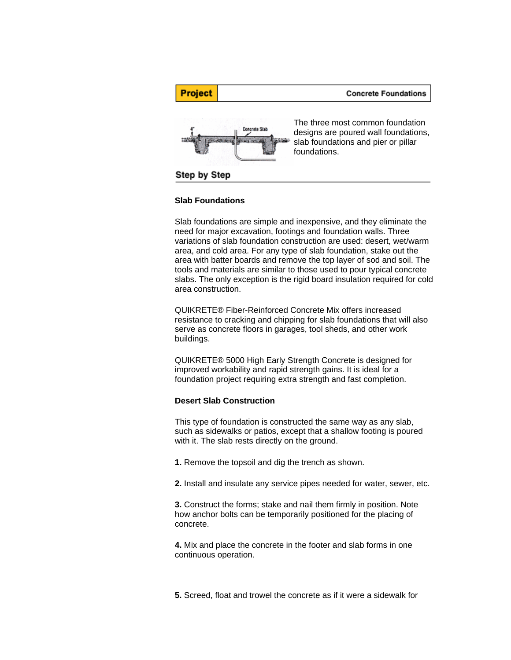

#### **Slab Foundations**

Slab foundations are simple and inexpensive, and they eliminate the need for major excavation, footings and foundation walls. Three variations of slab foundation construction are used: desert, wet/warm area, and cold area. For any type of slab foundation, stake out the area with batter boards and remove the top layer of sod and soil. The tools and materials are similar to those used to pour typical concrete slabs. The only exception is the rigid board insulation required for cold area construction.

QUIKRETE® Fiber-Reinforced Concrete Mix offers increased resistance to cracking and chipping for slab foundations that will also serve as concrete floors in garages, tool sheds, and other work buildings.

QUIKRETE® 5000 High Early Strength Concrete is designed for improved workability and rapid strength gains. It is ideal for a foundation project requiring extra strength and fast completion.

### **Desert Slab Construction**

This type of foundation is constructed the same way as any slab, such as sidewalks or patios, except that a shallow footing is poured with it. The slab rests directly on the ground.

**1.** Remove the topsoil and dig the trench as shown.

**2.** Install and insulate any service pipes needed for water, sewer, etc.

**3.** Construct the forms; stake and nail them firmly in position. Note how anchor bolts can be temporarily positioned for the placing of concrete.

**4.** Mix and place the concrete in the footer and slab forms in one continuous operation.

**5.** Screed, float and trowel the concrete as if it were a sidewalk for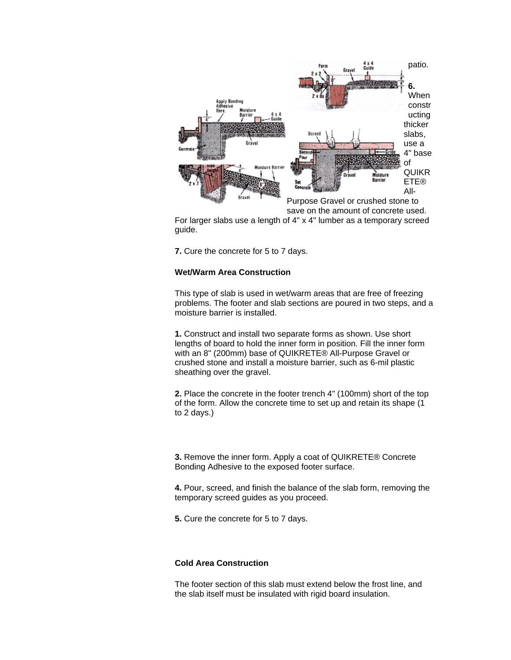

For larger slabs use a length of 4" x 4" lumber as a temporary screed guide.

**7.** Cure the concrete for 5 to 7 days.

## **Wet/Warm Area Construction**

This type of slab is used in wet/warm areas that are free of freezing problems. The footer and slab sections are poured in two steps, and a moisture barrier is installed.

**1.** Construct and install two separate forms as shown. Use short lengths of board to hold the inner form in position. Fill the inner form with an 8" (200mm) base of QUIKRETE® All-Purpose Gravel or crushed stone and install a moisture barrier, such as 6-mil plastic sheathing over the gravel.

**2.** Place the concrete in the footer trench 4" (100mm) short of the top of the form. Allow the concrete time to set up and retain its shape (1 to 2 days.)

**3.** Remove the inner form. Apply a coat of QUIKRETE® Concrete Bonding Adhesive to the exposed footer surface.

**4.** Pour, screed, and finish the balance of the slab form, removing the temporary screed guides as you proceed.

**5.** Cure the concrete for 5 to 7 days.

# **Cold Area Construction**

The footer section of this slab must extend below the frost line, and the slab itself must be insulated with rigid board insulation.